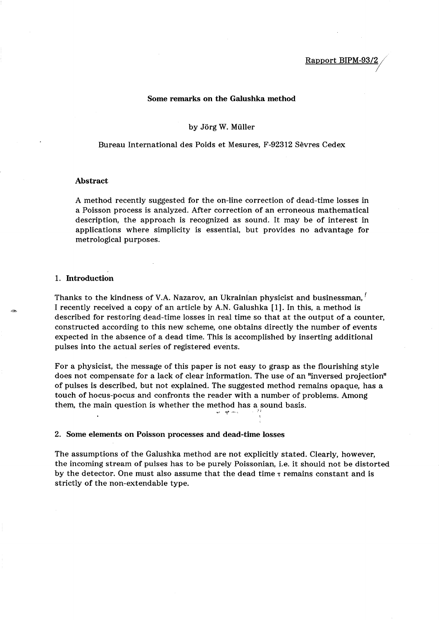### Some remarks on the Galushka method

#### by Jörg W. Müller

#### Bureau International des Poids et Mesures, F-92312 Sèvres Cedex

# Abstract

A method recently suggested for the on-line correction of dead-time losses in a Poisson process is analyzed. After correction of an erroneous mathematical description, the approach is recognized as sound. It may be of interest in applications where simplicity is essential, but provides no advantage for metrological purposes.

## 1. Introduction

 $\overline{a}$ 

Thanks to the kindness of V.A. Nazarov, an Ukrainian physicist and businessman, 1 recently received a copy of an article by A.N. Galushka [1]. In this, a method is described for restoring dead-time losses in real time so that at the output of a counter, constructed according to this new scheme, one obtains directly the number of events expected in the absence of a dead time. This is accomplished by inserting additional pulses into the actual series of registered events.

For a physicist, the message of this paper is not easy to grasp as the flourishing style does not compensate for a lack of clear information. The use of an "inversed projection" of pulses is described, but not explained. The suggested method remains opaque, has a touch of hocus-pocus and confronts the reader with a number of problems. Among them, the main question is wh ether the method has a sound basis.  $-$  ,  $-$  ,  $-$  ,  $-$  ,  $-$  ,  $-$  ,  $-$  ,  $-$  ,  $-$  ,  $-$  ,  $-$  ,  $-$  ,  $-$  ,  $-$  ,  $-$  ,  $-$  ,  $-$  ,  $-$  ,  $-$  ,  $-$  ,  $-$  ,  $-$  ,  $-$  ,  $-$  ,  $-$  ,  $-$  ,  $-$  ,  $-$  ,  $-$  ,  $-$  ,  $-$  ,  $-$  ,  $-$  ,  $-$  ,  $-$  ,  $-$  ,  $-$  ,

#### 2. Sorne elernents on Poisson processes and dead-time losses

The assumptions of the Galushka method are not explicitly stated. Clearly, however, the incoming stream of pulses has to be purely Poissonian, i.e. it should not be distorted by the detector. One must also assume that the dead time  $\tau$  remains constant and is strictly of the non-extendable type.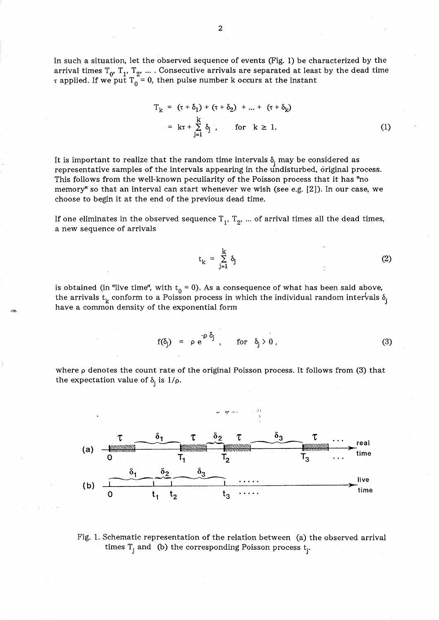In such a situation, let the observed sequence of events (Fig. 1) be characterized by the arrival times  $T_0$ ,  $T_1$ ,  $T_2$ , ..... Consecutive arrivals are separated at least by the dead time  $\tau$  applied. If we put  $T_0 = 0$ , then pulse number k occurs at the instant

$$
T_k = (\tau + \delta_1) + (\tau + \delta_2) + \dots + (\tau + \delta_k)
$$
  
=  $k\tau + \sum_{j=1}^k \delta_j$ , for  $k \ge 1$ . (1)

It is important to realize that the random time intervals  $\delta_i$  may be considered as representative samples of the intervals appearing in the undisturbed, original process. This follows frorn the well-known peculiarity of the Poisson process that it has "no memory" so that an interval can start whenever we wish (see e.g. [2]). In our case, we choose to begin it at the end of the previous dead time.

If one eliminates in the observed sequence  $T_1$ ,  $T_2$ , ... of arrival times all the dead times, a new sequence of arrivaIs

$$
t_k = \sum_{j=1}^k \delta_j \tag{2}
$$

is obtained (in "live time", with  $t_0 = 0$ ). As a consequence of what has been said above, the arrivals  $\rm t_k$  conform to a Poisson process in which the individual random intervals  $\rm \delta_j$ have a common density of the exponential form

$$
f(\delta_j) = \rho e^{-\rho \delta_j}, \quad \text{for } \delta_j > 0,
$$
 (3)

where  $\rho$  denotes the count rate of the original Poisson process. It follows from (3) that the expectation value of  $\delta_{\rm j}$  is  $1/\rho$ .



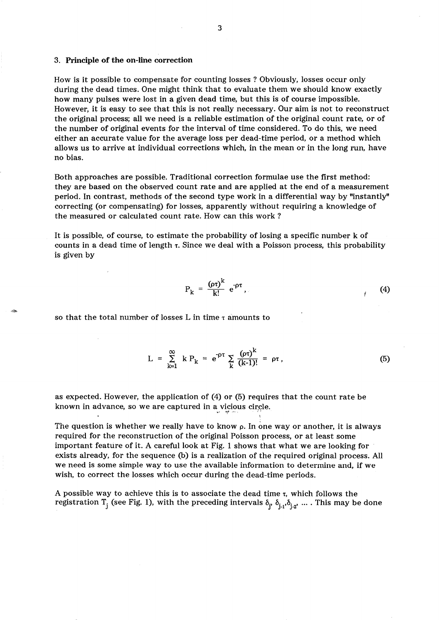### 3. Principle of the on-line correction

How is it possible to compensate for counting losses ? Obviously, losses occur only during the dead times. One might think that to evaluate them we should know exactly how many pulses were lost in a given dead time, but this is of course impossible. However, it is easy to see that this is not really necessary. Our aim is not to reconstruct the original process; aIl we need is a reliable estimation of the original count rate, or of the number of original events for the interval of time considered. To do this, we need either an accurate value for the average loss per dead-time period, or a method which allows us to arrive at individual corrections which, in the mean or in the long run, have no bias.

Both approaches are possible. Traditional correction formulae use the first method: they are based on the observed count rate and are applied at the end of a measurement period. In contrast, methods of the second type work in a differential way by "instantly" correcting (or compensating) for losses, apparently without requiring a knowledge of the measured or calculated count rate. How can this work ?

It is possible, of course, to estimate the probability of losing a specifie number k of counts in a dead time of length  $\tau$ . Since we deal with a Poisson process, this probability is given by

$$
P_k = \frac{(\rho \tau)^k}{k!} e^{-\rho \tau}, \qquad (4)
$$

so that the total number of losses L in time  $\tau$  amounts to

 $\sim$ 

ولاتين

$$
L = \sum_{k=1}^{\infty} k P_k = e^{-\rho \tau} \sum_{k} \frac{(\rho \tau)^k}{(k-1)!} = \rho \tau,
$$
 (5)

as expected. However, the application of (4) or (5) requires that the count rate be known in advance, so we are captured in a vicious circle.

 $\bullet$  1.1  $\bullet$  1.1  $\bullet$  1.1  $\bullet$  1.1  $\bullet$  1.1  $\bullet$  1.1  $\bullet$  1.1  $\bullet$  1.1  $\bullet$  1.1  $\bullet$  1.1  $\bullet$  1.1  $\bullet$  1.1  $\bullet$  1.1  $\bullet$  1.1  $\bullet$  1.1  $\bullet$  1.1  $\bullet$  1.1  $\bullet$  1.1  $\bullet$  1.1  $\bullet$  1.1  $\bullet$  1.1  $\bullet$  1.1  $\bullet$  1.1  $\bullet$  1.1  $\bullet$ 

The question is whether we really have to know  $\rho$ . In one way or another, it is always required for the reconstruction of the original Poisson process, or at least sorne important feature of it. A careful look at Fig. 1 shows that what we are looking for exists already, for the sequence (b) is a realization of the required original process. AlI we need is sorne simple way to use the available information to determine and, if we wish, to correct the losses which occur during the dead-time periods.

A possible way to achieve this is to associate the dead time  $\tau$ , which follows the registration T<sub>j</sub> (see Fig. 1), with the preceding intervals  $\delta_{\mu}$ ,  $\delta_{i-1}$ ,  $\delta_{i-2}$ , ... This may be done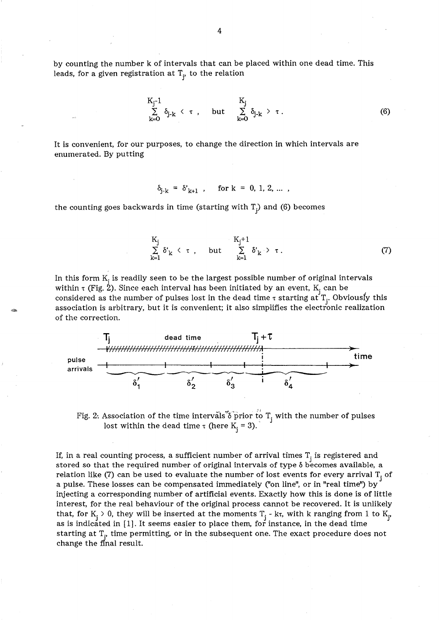by counting the number k of intervals that can be placed within one dead time. This leads, for a given registration at  $\text{T}_{\text{j}}$ , to the relation

K-1 J k~ Oj\_k < 't , but (6)

It is convenient, for our purposes, to change the direction in which intervals are enumerated. By putting

$$
\delta_{j-k} = \delta'_{k+1} \; , \quad \text{for } k = 0, 1, 2, \dots ,
$$

the counting goes backwards in time (starting with  $\mathrm{T_{j}}$ ) and (6) becomes

$$
\begin{array}{ccc}\nK_j & K_j + 1 \\
\sum_{k=1}^{N} \delta'_k < \tau, \quad \text{but} \quad \sum_{k=1}^{K_j + 1} \delta'_k > \tau.\n\end{array} \tag{7}
$$

In this form  $K<sub>i</sub>$  is readily seen to be the largest possible number of original intervals within  $\tau$  (Fig. 2). Since each interval has been initiated by an event, K<sub>i</sub> can be considered as the number of pulses lost in the dead time  $\tau$  starting at  $T_r$ . Obviously this association is arbitrary, but it is convenient; it also simplifies the electronic realization of the correction.



Fig. 2: Association of the time intervals  $\delta$  prior to T<sub>j</sub> with the number of pulses lost within the dead time  $\tau$  (here K<sub>j</sub> = 3).

If, in a real counting process, a sufficient number of arrival times  $T_i$  is registered and stored so that the required number of original intervals of type  $\delta$  becomes available, a relation like (7) can be used to evaluate the number of lost events for every arrival  $T_i$  of a pulse. These losses can be compensated immediately ("on line", or in "real time") by injecting a corresponding number of artificial events. Exactly how this is done is of little interest, for the real behaviour of the original process cannot be recovered. It is unlikely that, for  $K_i > 0$ , they will be inserted at the moments  $T_i$  - kt, with k ranging from 1 to  $K_i$ as is indicated in [1]. It seems easier to place them, for instance, in the dead time starting at  $T<sub>r</sub>$ , time permitting, or in the subsequent one. The exact procedure does not change the final result.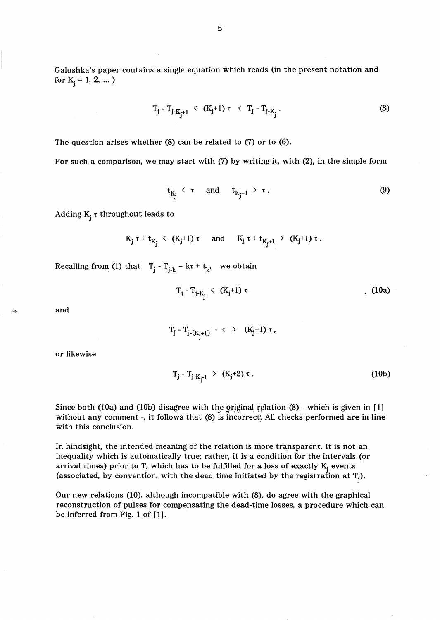Galushka's paper contains a single equation which reads (in the present notation and for  $K_i = 1, 2, ...$ )

$$
T_j - T_{j-K_j+1} \leftarrow (K_j+1) \tau \leftarrow T_j - T_{j-K_j}.
$$
 (8)

The question arises whether (8) can be related to (7) or to (6).

For such a comparison, we may start with (7) by writing it, with (2), in the simple form

 $t_{K_j} \leftarrow \tau$  and  $t_{K_j+1} > \tau$ . (9)

Adding  $\mathrm{K}_{\mathrm{j}}$   $\mathrm{\tau}$  throughout leads to

$$
K_j \ \tau + \ t_{K_j} \ \leftarrow \ (K_j + 1) \ \tau \quad \ \ \text{and} \quad \ \ K_j \ \tau + \ t_{K_j + 1} \ \leftarrow \ (K_j + 1) \ \tau \ .
$$

Recalling from (1) that  $T_j - T_{j-k} = k\tau + t_k$ , we obtain

$$
T_j - T_{j-K_j} \leftarrow (K_j + 1) \tau
$$
 (10a)

and

$$
T_j \,\text{-}\, T_{j\text{-}(K_j+1)} \,\text{-}\, \tau \quad \text{in}\quad (K_j+1)\,\, \tau\;,
$$

or likewise

$$
T_j - T_{j-K_{j-1}} > (K_j + 2) \tau . \tag{10b}
$$

Since both (10a) and (10b) disagree with the original relation  $(8)$  - which is given in  $[1]$ without any comment -, it follows that  $(8)$  is incorrect. All checks performed are in line with this conclusion.

In hindsight, the intended meaning of the relation is more transparent. It is not an inequality which is automatically true; rather, it is a condition for the intervals (or arrival times) prior to  $T_i$  which has to be fulfilled for a loss of exactly  $K_i$  events (associated, by convention, with the dead time initiated by the registration at T<sub>j</sub>).

Our new relations (l0), although incompatible with (8), do agree with the graphical reconstruction of pulses for compensating the dead-time losses, a procedure which can be inferred from Fig. 1 of [1].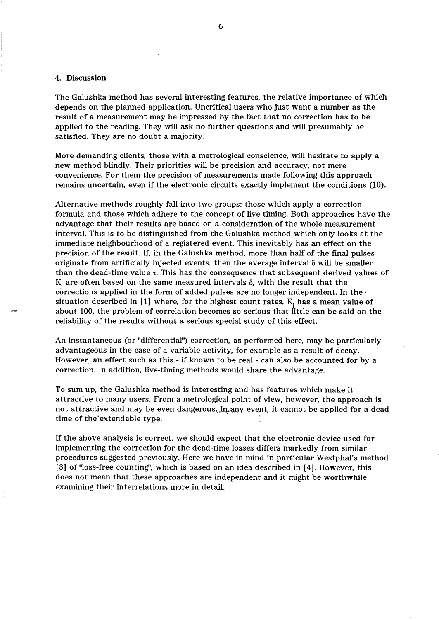## 4. Discussion

The Galushka method has several interesting features, the relative importance of which depends on the planned application. Uncritical users who just want a number as the result of a measurement may be impressed by the fact that no correction has to be applied to the reading. They will ask no further questions and will presumably be satisfied. They are no doubt a majority.

More demanding clients, those with a metrological conscience, will hesitate to apply a new method blindly. Their priorities will be precision and accuracy, not mere convenience. For them the precision of measurements made following this approach remains uncertain, even if the electronic circuits exactly implement the conditions (10).

Alternative methods roughly fall into two groups: those which apply a correction formula and those which adhere to the concept of live timing. Both approaches have the advantage that their results are based on a consideration of the whole measurement interval. This is to be distinguished from the Galushka method which only looks at the immediate neighbourhood of a registered event. This inevitably has an effect on the precision of the result. If, in the Galushka method, more than half of the final pulses originate from artificially injected events, then the average interval  $\delta$  will be smaller than the dead-time value  $\tau$ . This has the consequence that subsequent derived values of  $K<sub>i</sub>$  are often based on the same measured intervals  $\delta$ , with the result that the corrections applied in the form of added pulses are no longer independent. In the  $_f$ situation described in  $[1]$  where, for the highest count rates,  $K$ , has a mean value of about 100, the problem of correlation becomes so serious that little can be said on the reliability of the results without a serious special study of this effect.

An instantaneous (or "differential'') correction, as performed here, may be particularly advantageous in the case of a variable activity, for example as a result of decay. However, an effect such as this - if known to be real - can also be accounted for by a correction. In addition, live-timing methods would share the advantage.

To sum up, the Galushka method is interesting and has features which make it attractive to many users. From a metrological point of view, however, the approach is not attractive and may be even dangerous. In any event, it cannot be applied for a dead time of the extendable type.

If the above analysis is correct, we should expect that the electronic device used for implementing the correction for the dead-time losses differs markedly from similar procedures suggested previously. Here we have in mind in particular Westphal's method [3] of "loss-free counting", which is based on an idea described in [4]. However, this does not mean that these approaches are independent and it might be worthwhile examining their interrelations more in detail.